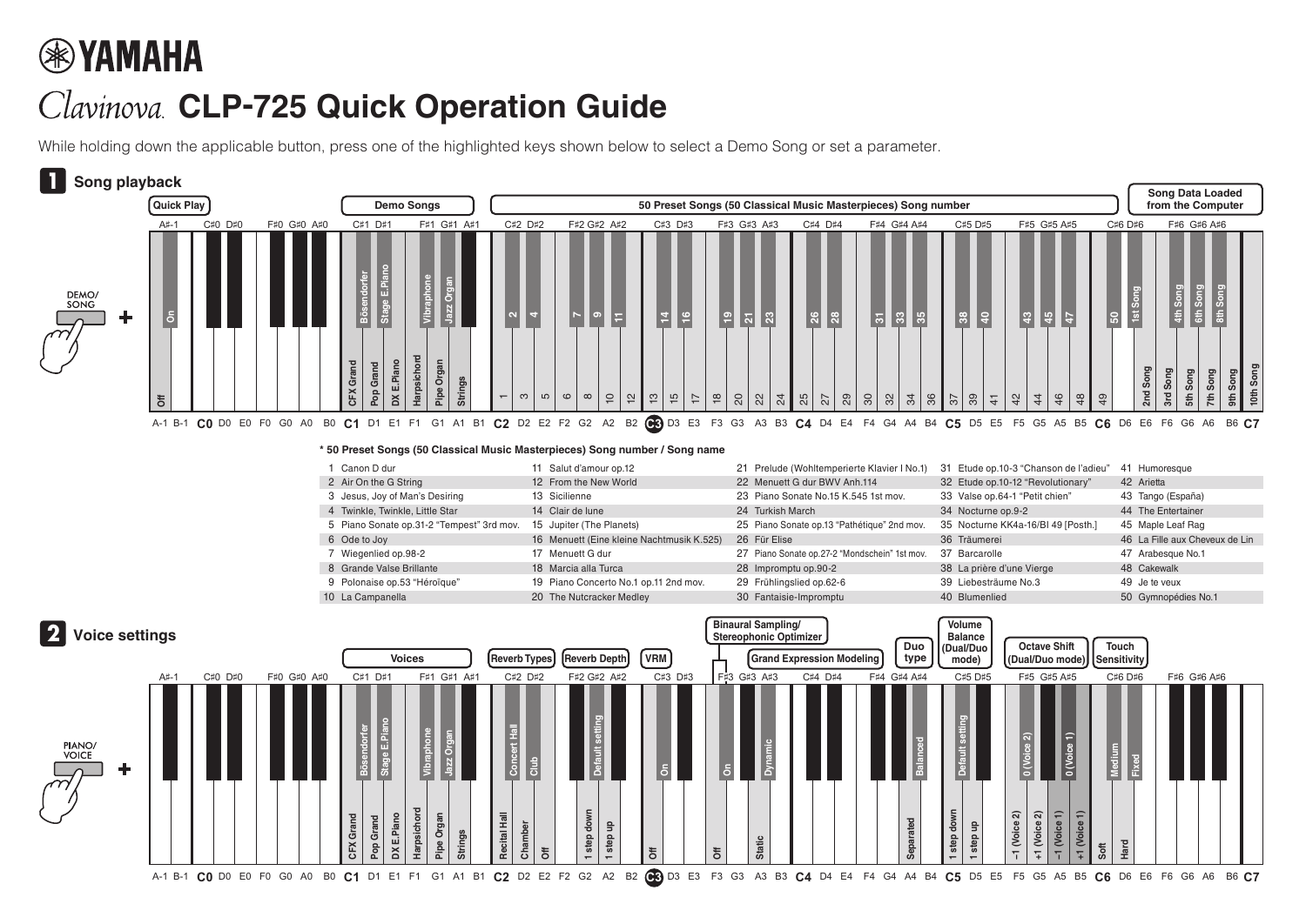## **®YAMAHA**

## Clavinova. CLP-725 Quick Operation Guide

While holding down the applicable button, press one of the highlighted keys shown below to select a Demo Song or set a parameter.



## **\* 50 Preset Songs (50 Classical Music Masterpieces) Song number / Song name**

| Canon D dur                               | 11 Salut d'amour op.12                    | 21 Prelude (Wohltemperierte Klavier I No.1)   | 31 Etude op.10-3 "Chanson de l'adieu" | 41 Humoresque                  |
|-------------------------------------------|-------------------------------------------|-----------------------------------------------|---------------------------------------|--------------------------------|
| 2 Air On the G String                     | 12 From the New World                     | 22 Menuett G dur BWV Anh.114                  | 32 Etude op.10-12 "Revolutionary"     | 42 Arietta                     |
| 3 Jesus, Joy of Man's Desiring            | 13 Sicilienne                             | 23 Piano Sonate No.15 K.545 1st mov.          | 33 Valse op.64-1 "Petit chien"        | 43 Tango (España)              |
| 4 Twinkle, Twinkle, Little Star           | 14 Clair de lune                          | 24 Turkish March                              | 34 Nocturne op.9-2                    | 44 The Entertainer             |
| 5 Piano Sonate op.31-2 "Tempest" 3rd mov. | 15 Jupiter (The Planets)                  | 25 Piano Sonate op.13 "Pathétique" 2nd mov.   | 35 Nocturne KK4a-16/BI 49 [Posth.]    | 45 Maple Leaf Rag              |
| 6 Ode to Joy                              | 16 Menuett (Eine kleine Nachtmusik K.525) | 26 Für Elise                                  | 36 Träumerei                          | 46 La Fille aux Cheveux de Lin |
| Wiegenlied op.98-2                        | 17 Menuett G dur                          | 27 Piano Sonate op.27-2 "Mondschein" 1st mov. | 37 Barcarolle                         | 47 Arabesque No.1              |
| 8 Grande Valse Brillante                  | 18 Marcia alla Turca                      | 28 Impromptu op.90-2                          | 38 La prière d'une Vierge             | 48 Cakewalk                    |
| 9 Polonaise op.53 "Héroïque"              | 19 Piano Concerto No.1 op.11 2nd mov.     | 29 Frühlingslied op.62-6                      | 39 Liebesträume No.3                  | 49 Je te veux                  |
| 10 La Campanella                          | 20 The Nutcracker Medley                  | 30 Fantaisie-Impromptu                        | 40 Blumenlied                         | 50 Gymnopédies No.1            |